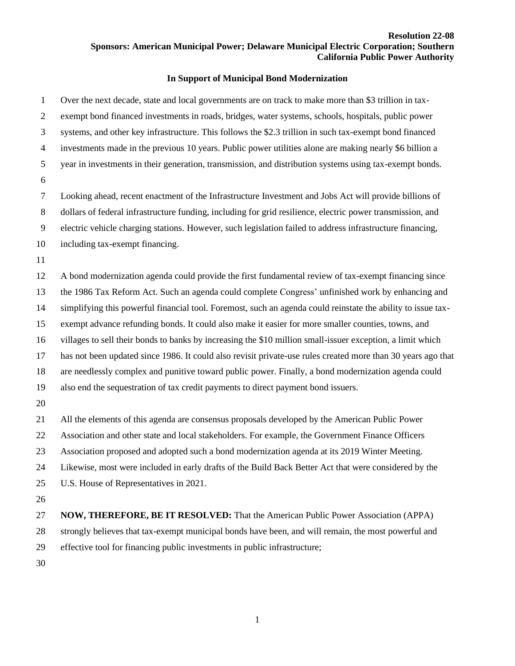## **Resolution 22-08 Sponsors: American Municipal Power; Delaware Municipal Electric Corporation; Southern California Public Power Authority**

## **In Support of Municipal Bond Modernization**

 Over the next decade, state and local governments are on track to make more than \$3 trillion in tax- exempt bond financed investments in roads, bridges, water systems, schools, hospitals, public power systems, and other key infrastructure. This follows the \$2.3 trillion in such tax-exempt bond financed investments made in the previous 10 years. Public power utilities alone are making nearly \$6 billion a year in investments in their generation, transmission, and distribution systems using tax-exempt bonds. Looking ahead, recent enactment of the Infrastructure Investment and Jobs Act will provide billions of dollars of federal infrastructure funding, including for grid resilience, electric power transmission, and electric vehicle charging stations. However, such legislation failed to address infrastructure financing, including tax-exempt financing. A bond modernization agenda could provide the first fundamental review of tax-exempt financing since the 1986 Tax Reform Act. Such an agenda could complete Congress' unfinished work by enhancing and simplifying this powerful financial tool. Foremost, such an agenda could reinstate the ability to issue tax- exempt advance refunding bonds. It could also make it easier for more smaller counties, towns, and villages to sell their bonds to banks by increasing the \$10 million small-issuer exception, a limit which has not been updated since 1986. It could also revisit private-use rules created more than 30 years ago that are needlessly complex and punitive toward public power. Finally, a bond modernization agenda could also end the sequestration of tax credit payments to direct payment bond issuers. All the elements of this agenda are consensus proposals developed by the American Public Power Association and other state and local stakeholders. For example, the Government Finance Officers Association proposed and adopted such a bond modernization agenda at its 2019 Winter Meeting. Likewise, most were included in early drafts of the Build Back Better Act that were considered by the U.S. House of Representatives in 2021. **NOW, THEREFORE, BE IT RESOLVED:** That the American Public Power Association (APPA) strongly believes that tax-exempt municipal bonds have been, and will remain, the most powerful and effective tool for financing public investments in public infrastructure;